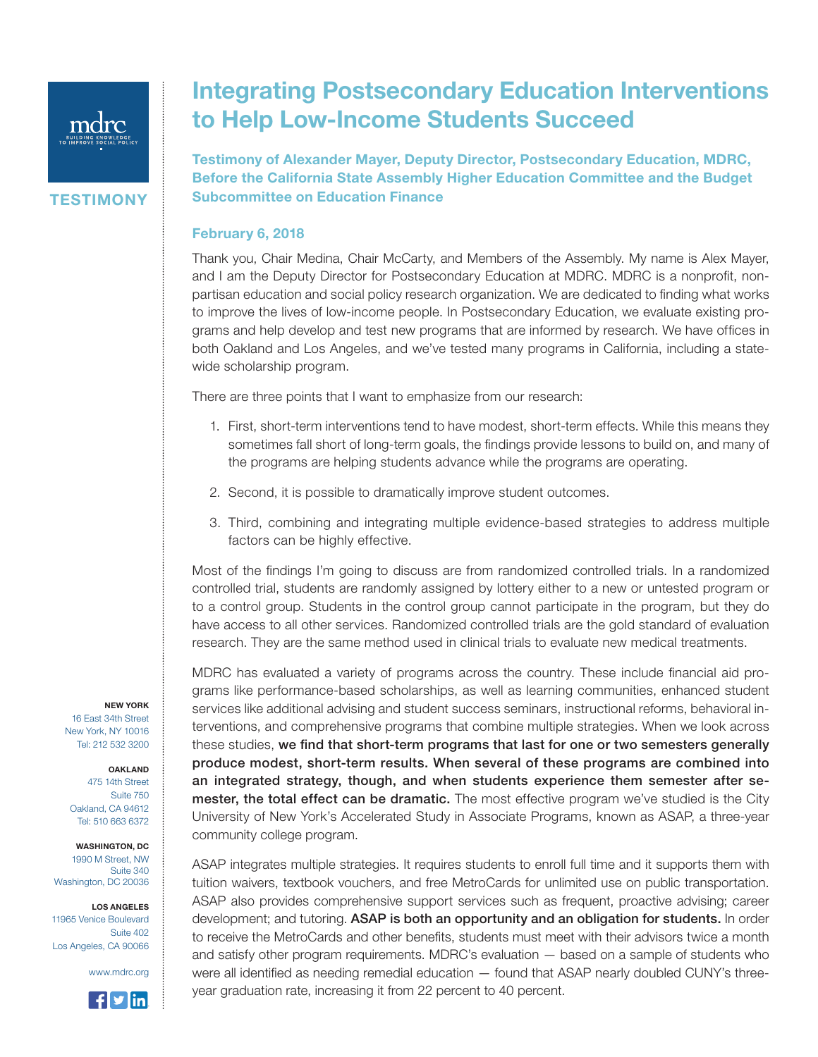

**TESTIMONY** 

## Integrating Postsecondary Education Interventions to Help Low-Income Students Succeed

Testimony of Alexander Mayer, Deputy Director, Postsecondary Education, MDRC, Before the California State Assembly Higher Education Committee and the Budget Subcommittee on Education Finance

## February 6, 2018

Thank you, Chair Medina, Chair McCarty, and Members of the Assembly. My name is Alex Mayer, and I am the Deputy Director for Postsecondary Education at MDRC. MDRC is a nonprofit, nonpartisan education and social policy research organization. We are dedicated to finding what works to improve the lives of low-income people. In Postsecondary Education, we evaluate existing programs and help develop and test new programs that are informed by research. We have offices in both Oakland and Los Angeles, and we've tested many programs in California, including a statewide scholarship program.

There are three points that I want to emphasize from our research:

- 1. First, short-term interventions tend to have modest, short-term effects. While this means they sometimes fall short of long-term goals, the findings provide lessons to build on, and many of the programs are helping students advance while the programs are operating.
- 2. Second, it is possible to dramatically improve student outcomes.
- 3. Third, combining and integrating multiple evidence-based strategies to address multiple factors can be highly effective.

Most of the findings I'm going to discuss are from randomized controlled trials. In a randomized controlled trial, students are randomly assigned by lottery either to a new or untested program or to a control group. Students in the control group cannot participate in the program, but they do have access to all other services. Randomized controlled trials are the gold standard of evaluation research. They are the same method used in clinical trials to evaluate new medical treatments.

MDRC has evaluated a variety of programs across the country. These include financial aid programs like performance-based scholarships, as well as learning communities, enhanced student services like additional advising and student success seminars, instructional reforms, behavioral interventions, and comprehensive programs that combine multiple strategies. When we look across these studies, we find that short-term programs that last for one or two semesters generally produce modest, short-term results. When several of these programs are combined into an integrated strategy, though, and when students experience them semester after semester, the total effect can be dramatic. The most effective program we've studied is the City University of New York's Accelerated Study in Associate Programs, known as ASAP, a three-year community college program.

ASAP integrates multiple strategies. It requires students to enroll full time and it supports them with tuition waivers, textbook vouchers, and free MetroCards for unlimited use on public transportation. ASAP also provides comprehensive support services such as frequent, proactive advising; career development; and tutoring. ASAP is both an opportunity and an obligation for students. In order to receive the MetroCards and other benefits, students must meet with their advisors twice a month and satisfy other program requirements. MDRC's evaluation — based on a sample of students who were all identified as needing remedial education — found that ASAP nearly doubled CUNY's threeyear graduation rate, increasing it from 22 percent to 40 percent.

NEW YORK

16 East 34th Street New York, NY 10016 Tel: 212 532 3200

OAKLAND 475 14th Street Suite 750 Oakland, CA 94612 Tel: 510 663 6372

WASHINGTON, DC 1990 M Street, NW Suite 340 Washington, DC 20036

LOS ANGELES 11965 Venice Boulevard Suite 402 Los Angeles, CA 90066

www.mdrc.org